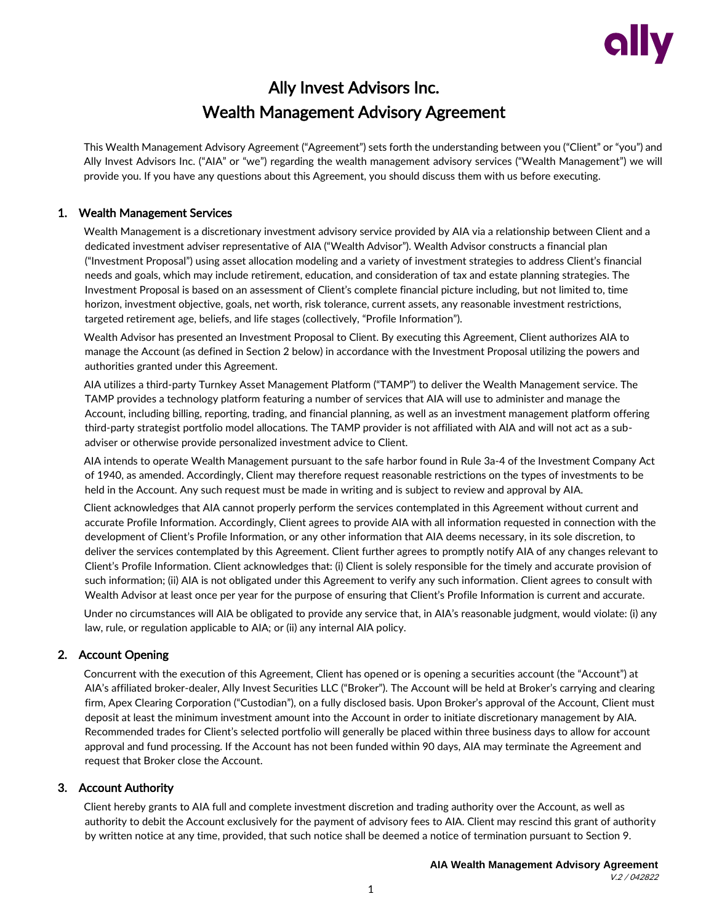

# Ally Invest Advisors Inc. Wealth Management Advisory Agreement

This Wealth Management Advisory Agreement ("Agreement") sets forth the understanding between you ("Client" or "you") and Ally Invest Advisors Inc. ("AIA" or "we") regarding the wealth management advisory services ("Wealth Management") we will provide you. If you have any questions about this Agreement, you should discuss them with us before executing.

# 1. Wealth Management Services

Wealth Management is a discretionary investment advisory service provided by AIA via a relationship between Client and a dedicated investment adviser representative of AIA ("Wealth Advisor"). Wealth Advisor constructs a financial plan ("Investment Proposal") using asset allocation modeling and a variety of investment strategies to address Client's financial needs and goals, which may include retirement, education, and consideration of tax and estate planning strategies. The Investment Proposal is based on an assessment of Client's complete financial picture including, but not limited to, time horizon, investment objective, goals, net worth, risk tolerance, current assets, any reasonable investment restrictions, targeted retirement age, beliefs, and life stages (collectively, "Profile Information").

Wealth Advisor has presented an Investment Proposal to Client. By executing this Agreement, Client authorizes AIA to manage the Account (as defined in Section 2 below) in accordance with the Investment Proposal utilizing the powers and authorities granted under this Agreement.

AIA utilizes a third-party Turnkey Asset Management Platform ("TAMP") to deliver the Wealth Management service. The TAMP provides a technology platform featuring a number of services that AIA will use to administer and manage the Account, including billing, reporting, trading, and financial planning, as well as an investment management platform offering third-party strategist portfolio model allocations. The TAMP provider is not affiliated with AIA and will not act as a subadviser or otherwise provide personalized investment advice to Client.

AIA intends to operate Wealth Management pursuant to the safe harbor found in Rule 3a-4 of the Investment Company Act of 1940, as amended. Accordingly, Client may therefore request reasonable restrictions on the types of investments to be held in the Account. Any such request must be made in writing and is subject to review and approval by AIA.

Client acknowledges that AIA cannot properly perform the services contemplated in this Agreement without current and accurate Profile Information. Accordingly, Client agrees to provide AIA with all information requested in connection with the development of Client's Profile Information, or any other information that AIA deems necessary, in its sole discretion, to deliver the services contemplated by this Agreement. Client further agrees to promptly notify AIA of any changes relevant to Client's Profile Information. Client acknowledges that: (i) Client is solely responsible for the timely and accurate provision of such information; (ii) AIA is not obligated under this Agreement to verify any such information. Client agrees to consult with Wealth Advisor at least once per year for the purpose of ensuring that Client's Profile Information is current and accurate.

Under no circumstances will AIA be obligated to provide any service that, in AIA's reasonable judgment, would violate: (i) any law, rule, or regulation applicable to AIA; or (ii) any internal AIA policy.

# 2. Account Opening

Concurrent with the execution of this Agreement, Client has opened or is opening a securities account (the "Account") at AIA's affiliated broker-dealer, Ally Invest Securities LLC ("Broker"). The Account will be held at Broker's carrying and clearing firm, Apex Clearing Corporation ("Custodian"), on a fully disclosed basis. Upon Broker's approval of the Account, Client must deposit at least the minimum investment amount into the Account in order to initiate discretionary management by AIA. Recommended trades for Client's selected portfolio will generally be placed within three business days to allow for account approval and fund processing. If the Account has not been funded within 90 days, AIA may terminate the Agreement and request that Broker close the Account.

# 3. Account Authority

Client hereby grants to AIA full and complete investment discretion and trading authority over the Account, as well as authority to debit the Account exclusively for the payment of advisory fees to AIA. Client may rescind this grant of authority by written notice at any time, provided, that such notice shall be deemed a notice of termination pursuant to Section 9.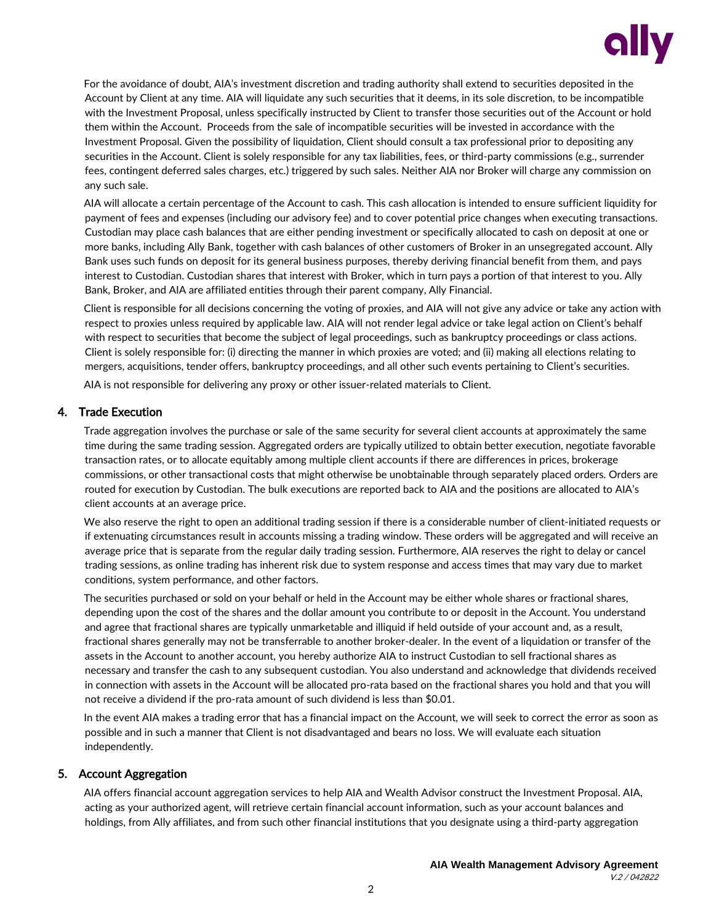

For the avoidance of doubt, AIA's investment discretion and trading authority shall extend to securities deposited in the Account by Client at any time. AIA will liquidate any such securities that it deems, in its sole discretion, to be incompatible with the Investment Proposal, unless specifically instructed by Client to transfer those securities out of the Account or hold them within the Account. Proceeds from the sale of incompatible securities will be invested in accordance with the Investment Proposal. Given the possibility of liquidation, Client should consult a tax professional prior to depositing any securities in the Account. Client is solely responsible for any tax liabilities, fees, or third-party commissions (e.g., surrender fees, contingent deferred sales charges, etc.) triggered by such sales. Neither AIA nor Broker will charge any commission on any such sale.

AIA will allocate a certain percentage of the Account to cash. This cash allocation is intended to ensure sufficient liquidity for payment of fees and expenses (including our advisory fee) and to cover potential price changes when executing transactions. Custodian may place cash balances that are either pending investment or specifically allocated to cash on deposit at one or more banks, including Ally Bank, together with cash balances of other customers of Broker in an unsegregated account. Ally Bank uses such funds on deposit for its general business purposes, thereby deriving financial benefit from them, and pays interest to Custodian. Custodian shares that interest with Broker, which in turn pays a portion of that interest to you. Ally Bank, Broker, and AIA are affiliated entities through their parent company, Ally Financial.

Client is responsible for all decisions concerning the voting of proxies, and AIA will not give any advice or take any action with respect to proxies unless required by applicable law. AIA will not render legal advice or take legal action on Client's behalf with respect to securities that become the subject of legal proceedings, such as bankruptcy proceedings or class actions. Client is solely responsible for: (i) directing the manner in which proxies are voted; and (ii) making all elections relating to mergers, acquisitions, tender offers, bankruptcy proceedings, and all other such events pertaining to Client's securities.

AIA is not responsible for delivering any proxy or other issuer-related materials to Client.

## 4. Trade Execution

Trade aggregation involves the purchase or sale of the same security for several client accounts at approximately the same time during the same trading session. Aggregated orders are typically utilized to obtain better execution, negotiate favorable transaction rates, or to allocate equitably among multiple client accounts if there are differences in prices, brokerage commissions, or other transactional costs that might otherwise be unobtainable through separately placed orders. Orders are routed for execution by Custodian. The bulk executions are reported back to AIA and the positions are allocated to AIA's client accounts at an average price.

We also reserve the right to open an additional trading session if there is a considerable number of client-initiated requests or if extenuating circumstances result in accounts missing a trading window. These orders will be aggregated and will receive an average price that is separate from the regular daily trading session. Furthermore, AIA reserves the right to delay or cancel trading sessions, as online trading has inherent risk due to system response and access times that may vary due to market conditions, system performance, and other factors.

The securities purchased or sold on your behalf or held in the Account may be either whole shares or fractional shares, depending upon the cost of the shares and the dollar amount you contribute to or deposit in the Account. You understand and agree that fractional shares are typically unmarketable and illiquid if held outside of your account and, as a result, fractional shares generally may not be transferrable to another broker-dealer. In the event of a liquidation or transfer of the assets in the Account to another account, you hereby authorize AIA to instruct Custodian to sell fractional shares as necessary and transfer the cash to any subsequent custodian. You also understand and acknowledge that dividends received in connection with assets in the Account will be allocated pro-rata based on the fractional shares you hold and that you will not receive a dividend if the pro-rata amount of such dividend is less than \$0.01.

In the event AIA makes a trading error that has a financial impact on the Account, we will seek to correct the error as soon as possible and in such a manner that Client is not disadvantaged and bears no loss. We will evaluate each situation independently.

# 5. Account Aggregation

AIA offers financial account aggregation services to help AIA and Wealth Advisor construct the Investment Proposal. AIA, acting as your authorized agent, will retrieve certain financial account information, such as your account balances and holdings, from Ally affiliates, and from such other financial institutions that you designate using a third-party aggregation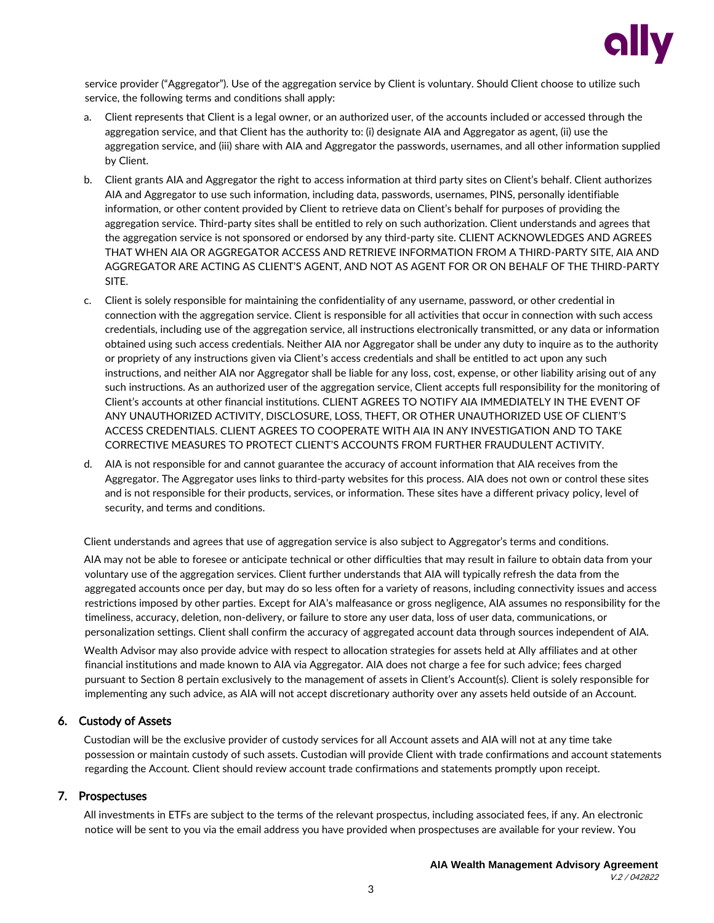

service provider ("Aggregator"). Use of the aggregation service by Client is voluntary. Should Client choose to utilize such service, the following terms and conditions shall apply:

- a. Client represents that Client is a legal owner, or an authorized user, of the accounts included or accessed through the aggregation service, and that Client has the authority to: (i) designate AIA and Aggregator as agent, (ii) use the aggregation service, and (iii) share with AIA and Aggregator the passwords, usernames, and all other information supplied by Client.
- b. Client grants AIA and Aggregator the right to access information at third party sites on Client's behalf. Client authorizes AIA and Aggregator to use such information, including data, passwords, usernames, PINS, personally identifiable information, or other content provided by Client to retrieve data on Client's behalf for purposes of providing the aggregation service. Third-party sites shall be entitled to rely on such authorization. Client understands and agrees that the aggregation service is not sponsored or endorsed by any third-party site. CLIENT ACKNOWLEDGES AND AGREES THAT WHEN AIA OR AGGREGATOR ACCESS AND RETRIEVE INFORMATION FROM A THIRD-PARTY SITE, AIA AND AGGREGATOR ARE ACTING AS CLIENT'S AGENT, AND NOT AS AGENT FOR OR ON BEHALF OF THE THIRD-PARTY SITE.
- c. Client is solely responsible for maintaining the confidentiality of any username, password, or other credential in connection with the aggregation service. Client is responsible for all activities that occur in connection with such access credentials, including use of the aggregation service, all instructions electronically transmitted, or any data or information obtained using such access credentials. Neither AIA nor Aggregator shall be under any duty to inquire as to the authority or propriety of any instructions given via Client's access credentials and shall be entitled to act upon any such instructions, and neither AIA nor Aggregator shall be liable for any loss, cost, expense, or other liability arising out of any such instructions. As an authorized user of the aggregation service, Client accepts full responsibility for the monitoring of Client's accounts at other financial institutions. CLIENT AGREES TO NOTIFY AIA IMMEDIATELY IN THE EVENT OF ANY UNAUTHORIZED ACTIVITY, DISCLOSURE, LOSS, THEFT, OR OTHER UNAUTHORIZED USE OF CLIENT'S ACCESS CREDENTIALS. CLIENT AGREES TO COOPERATE WITH AIA IN ANY INVESTIGATION AND TO TAKE CORRECTIVE MEASURES TO PROTECT CLIENT'S ACCOUNTS FROM FURTHER FRAUDULENT ACTIVITY.
- d. AIA is not responsible for and cannot guarantee the accuracy of account information that AIA receives from the Aggregator. The Aggregator uses links to third-party websites for this process. AIA does not own or control these sites and is not responsible for their products, services, or information. These sites have a different privacy policy, level of security, and terms and conditions.

Client understands and agrees that use of aggregation service is also subject to Aggregator's terms and conditions.

AIA may not be able to foresee or anticipate technical or other difficulties that may result in failure to obtain data from your voluntary use of the aggregation services. Client further understands that AIA will typically refresh the data from the aggregated accounts once per day, but may do so less often for a variety of reasons, including connectivity issues and access restrictions imposed by other parties. Except for AIA's malfeasance or gross negligence, AIA assumes no responsibility for the timeliness, accuracy, deletion, non-delivery, or failure to store any user data, loss of user data, communications, or personalization settings. Client shall confirm the accuracy of aggregated account data through sources independent of AIA.

Wealth Advisor may also provide advice with respect to allocation strategies for assets held at Ally affiliates and at other financial institutions and made known to AIA via Aggregator. AIA does not charge a fee for such advice; fees charged pursuant to Section 8 pertain exclusively to the management of assets in Client's Account(s). Client is solely responsible for implementing any such advice, as AIA will not accept discretionary authority over any assets held outside of an Account.

# 6. Custody of Assets

Custodian will be the exclusive provider of custody services for all Account assets and AIA will not at any time take possession or maintain custody of such assets. Custodian will provide Client with trade confirmations and account statements regarding the Account. Client should review account trade confirmations and statements promptly upon receipt.

#### 7. Prospectuses

All investments in ETFs are subject to the terms of the relevant prospectus, including associated fees, if any. An electronic notice will be sent to you via the email address you have provided when prospectuses are available for your review. You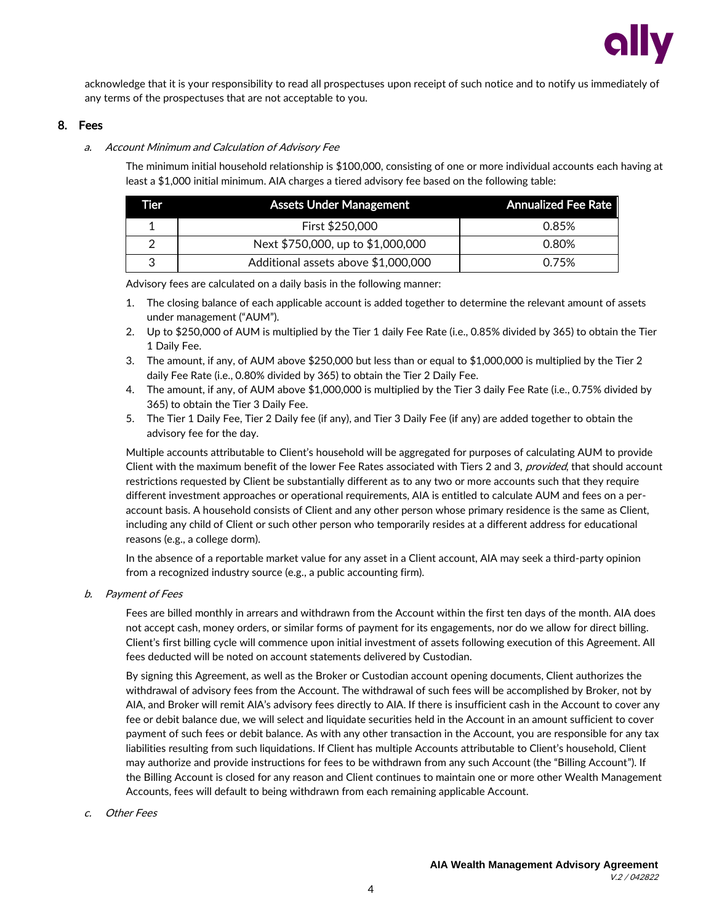

acknowledge that it is your responsibility to read all prospectuses upon receipt of such notice and to notify us immediately of any terms of the prospectuses that are not acceptable to you.

#### 8. Fees

#### a. Account Minimum and Calculation of Advisory Fee

The minimum initial household relationship is \$100,000, consisting of one or more individual accounts each having at least a \$1,000 initial minimum. AIA charges a tiered advisory fee based on the following table:

| Tier | <b>Assets Under Management</b>      | <b>Annualized Fee Rate</b> |
|------|-------------------------------------|----------------------------|
|      | First \$250,000                     | 0.85%                      |
|      | Next \$750,000, up to \$1,000,000   | 0.80%                      |
|      | Additional assets above \$1,000,000 | 0.75%                      |

Advisory fees are calculated on a daily basis in the following manner:

- 1. The closing balance of each applicable account is added together to determine the relevant amount of assets under management ("AUM").
- 2. Up to \$250,000 of AUM is multiplied by the Tier 1 daily Fee Rate (i.e., 0.85% divided by 365) to obtain the Tier 1 Daily Fee.
- 3. The amount, if any, of AUM above \$250,000 but less than or equal to \$1,000,000 is multiplied by the Tier 2 daily Fee Rate (i.e., 0.80% divided by 365) to obtain the Tier 2 Daily Fee.
- 4. The amount, if any, of AUM above \$1,000,000 is multiplied by the Tier 3 daily Fee Rate (i.e., 0.75% divided by 365) to obtain the Tier 3 Daily Fee.
- 5. The Tier 1 Daily Fee, Tier 2 Daily fee (if any), and Tier 3 Daily Fee (if any) are added together to obtain the advisory fee for the day.

Multiple accounts attributable to Client's household will be aggregated for purposes of calculating AUM to provide Client with the maximum benefit of the lower Fee Rates associated with Tiers 2 and 3, provided, that should account restrictions requested by Client be substantially different as to any two or more accounts such that they require different investment approaches or operational requirements, AIA is entitled to calculate AUM and fees on a peraccount basis. A household consists of Client and any other person whose primary residence is the same as Client, including any child of Client or such other person who temporarily resides at a different address for educational reasons (e.g., a college dorm).

In the absence of a reportable market value for any asset in a Client account, AIA may seek a third-party opinion from a recognized industry source (e.g., a public accounting firm).

b. Payment of Fees

Fees are billed monthly in arrears and withdrawn from the Account within the first ten days of the month. AIA does not accept cash, money orders, or similar forms of payment for its engagements, nor do we allow for direct billing. Client's first billing cycle will commence upon initial investment of assets following execution of this Agreement. All fees deducted will be noted on account statements delivered by Custodian.

By signing this Agreement, as well as the Broker or Custodian account opening documents, Client authorizes the withdrawal of advisory fees from the Account. The withdrawal of such fees will be accomplished by Broker, not by AIA, and Broker will remit AIA's advisory fees directly to AIA. If there is insufficient cash in the Account to cover any fee or debit balance due, we will select and liquidate securities held in the Account in an amount sufficient to cover payment of such fees or debit balance. As with any other transaction in the Account, you are responsible for any tax liabilities resulting from such liquidations. If Client has multiple Accounts attributable to Client's household, Client may authorize and provide instructions for fees to be withdrawn from any such Account (the "Billing Account"). If the Billing Account is closed for any reason and Client continues to maintain one or more other Wealth Management Accounts, fees will default to being withdrawn from each remaining applicable Account.

c. Other Fees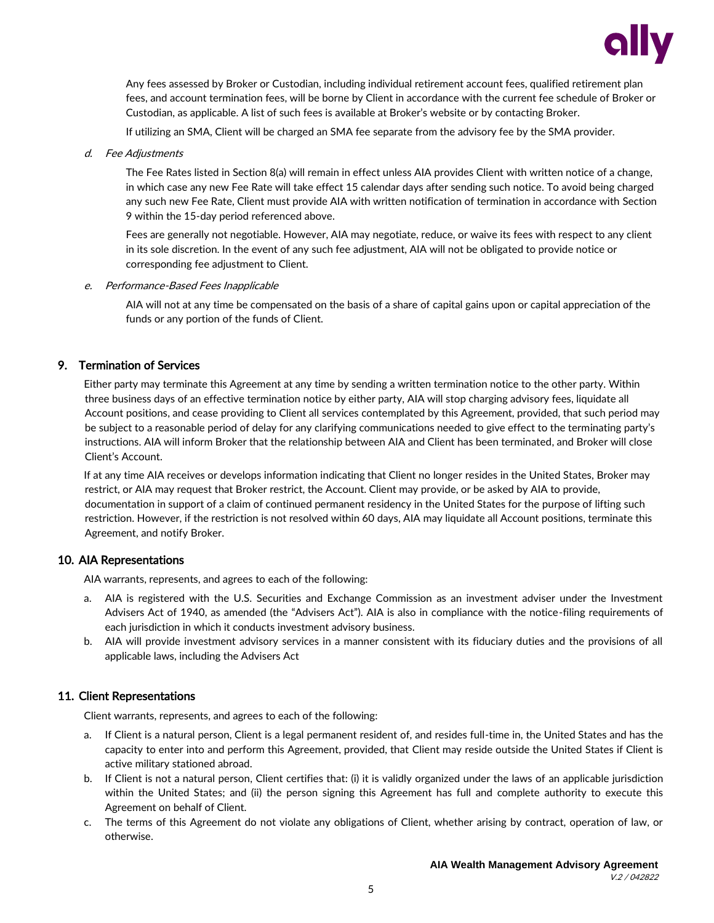

Any fees assessed by Broker or Custodian, including individual retirement account fees, qualified retirement plan fees, and account termination fees, will be borne by Client in accordance with the current fee schedule of Broker or Custodian, as applicable. A list of such fees is available at Broker's website or by contacting Broker.

If utilizing an SMA, Client will be charged an SMA fee separate from the advisory fee by the SMA provider.

d. Fee Adjustments

The Fee Rates listed in Section 8(a) will remain in effect unless AIA provides Client with written notice of a change, in which case any new Fee Rate will take effect 15 calendar days after sending such notice. To avoid being charged any such new Fee Rate, Client must provide AIA with written notification of termination in accordance with Section 9 within the 15-day period referenced above.

Fees are generally not negotiable. However, AIA may negotiate, reduce, or waive its fees with respect to any client in its sole discretion. In the event of any such fee adjustment, AIA will not be obligated to provide notice or corresponding fee adjustment to Client.

e. Performance-Based Fees Inapplicable

AIA will not at any time be compensated on the basis of a share of capital gains upon or capital appreciation of the funds or any portion of the funds of Client.

# 9. Termination of Services

Either party may terminate this Agreement at any time by sending a written termination notice to the other party. Within three business days of an effective termination notice by either party, AIA will stop charging advisory fees, liquidate all Account positions, and cease providing to Client all services contemplated by this Agreement, provided, that such period may be subject to a reasonable period of delay for any clarifying communications needed to give effect to the terminating party's instructions. AIA will inform Broker that the relationship between AIA and Client has been terminated, and Broker will close Client's Account.

If at any time AIA receives or develops information indicating that Client no longer resides in the United States, Broker may restrict, or AIA may request that Broker restrict, the Account. Client may provide, or be asked by AIA to provide, documentation in support of a claim of continued permanent residency in the United States for the purpose of lifting such restriction. However, if the restriction is not resolved within 60 days, AIA may liquidate all Account positions, terminate this Agreement, and notify Broker.

#### 10. AIA Representations

AIA warrants, represents, and agrees to each of the following:

- a. AIA is registered with the U.S. Securities and Exchange Commission as an investment adviser under the Investment Advisers Act of 1940, as amended (the "Advisers Act"). AIA is also in compliance with the notice-filing requirements of each jurisdiction in which it conducts investment advisory business.
- b. AIA will provide investment advisory services in a manner consistent with its fiduciary duties and the provisions of all applicable laws, including the Advisers Act

# 11. Client Representations

Client warrants, represents, and agrees to each of the following:

- a. If Client is a natural person, Client is a legal permanent resident of, and resides full-time in, the United States and has the capacity to enter into and perform this Agreement, provided, that Client may reside outside the United States if Client is active military stationed abroad.
- b. If Client is not a natural person, Client certifies that: (i) it is validly organized under the laws of an applicable jurisdiction within the United States; and (ii) the person signing this Agreement has full and complete authority to execute this Agreement on behalf of Client.
- c. The terms of this Agreement do not violate any obligations of Client, whether arising by contract, operation of law, or otherwise.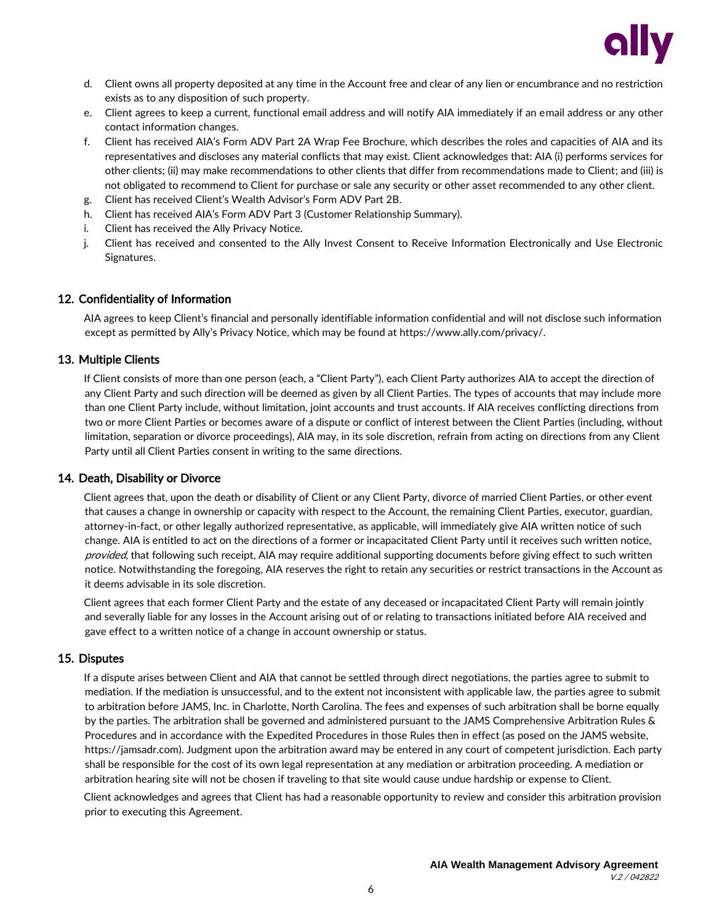

- d. Client owns all property deposited at any time in the Account free and clear of any lien or encumbrance and no restriction exists as to any disposition of such property.
- e. Client agrees to keep a current, functional email address and will notify AIA immediately if an email address or any other contact information changes.
- f. Client has received AIA's Form ADV Part 2A Wrap Fee Brochure, which describes the roles and capacities of AIA and its representatives and discloses any material conflicts that may exist. Client acknowledges that: AIA (i) performs services for other clients; (ii) may make recommendations to other clients that differ from recommendations made to Client; and (iii) is not obligated to recommend to Client for purchase or sale any security or other asset recommended to any other client.
- g. Client has received Client's Wealth Advisor's Form ADV Part 2B.
- h. Client has received AIA's Form ADV Part 3 (Customer Relationship Summary).
- i. Client has received the Ally Privacy Notice.
- j. Client has received and consented to the Ally Invest Consent to Receive Information Electronically and Use Electronic Signatures.

#### 12. Confidentiality of Information

AIA agrees to keep Client's financial and personally identifiable information confidential and will not disclose such information except as permitted by Ally's Privacy Notice, which may be found at https://www.ally.com/privacy/.

#### 13. Multiple Clients

If Client consists of more than one person (each, a "Client Party"), each Client Party authorizes AIA to accept the direction of any Client Party and such direction will be deemed as given by all Client Parties. The types of accounts that may include more than one Client Party include, without limitation, joint accounts and trust accounts. If AIA receives conflicting directions from two or more Client Parties or becomes aware of a dispute or conflict of interest between the Client Parties (including, without limitation, separation or divorce proceedings), AIA may, in its sole discretion, refrain from acting on directions from any Client Party until all Client Parties consent in writing to the same directions.

#### 14. Death, Disability or Divorce

Client agrees that, upon the death or disability of Client or any Client Party, divorce of married Client Parties, or other event that causes a change in ownership or capacity with respect to the Account, the remaining Client Parties, executor, guardian, attorney-in-fact, or other legally authorized representative, as applicable, will immediately give AIA written notice of such change. AIA is entitled to act on the directions of a former or incapacitated Client Party until it receives such written notice, provided, that following such receipt, AIA may require additional supporting documents before giving effect to such written notice. Notwithstanding the foregoing, AIA reserves the right to retain any securities or restrict transactions in the Account as it deems advisable in its sole discretion.

Client agrees that each former Client Party and the estate of any deceased or incapacitated Client Party will remain jointly and severally liable for any losses in the Account arising out of or relating to transactions initiated before AIA received and gave effect to a written notice of a change in account ownership or status.

#### 15. Disputes

If a dispute arises between Client and AIA that cannot be settled through direct negotiations, the parties agree to submit to mediation. If the mediation is unsuccessful, and to the extent not inconsistent with applicable law, the parties agree to submit to arbitration before JAMS, Inc. in Charlotte, North Carolina. The fees and expenses of such arbitration shall be borne equally by the parties. The arbitration shall be governed and administered pursuant to the JAMS Comprehensive Arbitration Rules & Procedures and in accordance with the Expedited Procedures in those Rules then in effect (as posed on the JAMS website, https://jamsadr.com). Judgment upon the arbitration award may be entered in any court of competent jurisdiction. Each party shall be responsible for the cost of its own legal representation at any mediation or arbitration proceeding. A mediation or arbitration hearing site will not be chosen if traveling to that site would cause undue hardship or expense to Client.

Client acknowledges and agrees that Client has had a reasonable opportunity to review and consider this arbitration provision prior to executing this Agreement.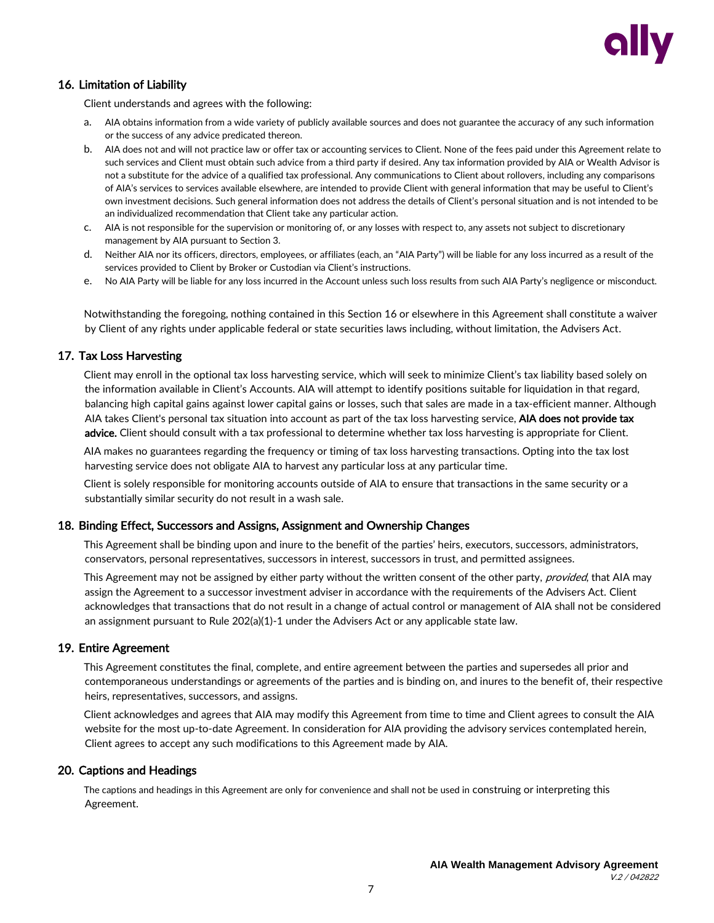

# 16. Limitation of Liability

Client understands and agrees with the following:

- a. AIA obtains information from a wide variety of publicly available sources and does not guarantee the accuracy of any such information or the success of any advice predicated thereon.
- b. AIA does not and will not practice law or offer tax or accounting services to Client. None of the fees paid under this Agreement relate to such services and Client must obtain such advice from a third party if desired. Any tax information provided by AIA or Wealth Advisor is not a substitute for the advice of a qualified tax professional. Any communications to Client about rollovers, including any comparisons of AIA's services to services available elsewhere, are intended to provide Client with general information that may be useful to Client's own investment decisions. Such general information does not address the details of Client's personal situation and is not intended to be an individualized recommendation that Client take any particular action.
- c. AIA is not responsible for the supervision or monitoring of, or any losses with respect to, any assets not subject to discretionary management by AIA pursuant to Section 3.
- d. Neither AIA nor its officers, directors, employees, or affiliates (each, an "AIA Party") will be liable for any loss incurred as a result of the services provided to Client by Broker or Custodian via Client's instructions.
- e. No AIA Party will be liable for any loss incurred in the Account unless such loss results from such AIA Party's negligence or misconduct.

Notwithstanding the foregoing, nothing contained in this Section 16 or elsewhere in this Agreement shall constitute a waiver by Client of any rights under applicable federal or state securities laws including, without limitation, the Advisers Act.

## 17. Tax Loss Harvesting

Client may enroll in the optional tax loss harvesting service, which will seek to minimize Client's tax liability based solely on the information available in Client's Accounts. AIA will attempt to identify positions suitable for liquidation in that regard, balancing high capital gains against lower capital gains or losses, such that sales are made in a tax-efficient manner. Although AIA takes Client's personal tax situation into account as part of the tax loss harvesting service, AIA does not provide tax advice. Client should consult with a tax professional to determine whether tax loss harvesting is appropriate for Client.

AIA makes no guarantees regarding the frequency or timing of tax loss harvesting transactions. Opting into the tax lost harvesting service does not obligate AIA to harvest any particular loss at any particular time.

Client is solely responsible for monitoring accounts outside of AIA to ensure that transactions in the same security or a substantially similar security do not result in a wash sale.

#### 18. Binding Effect, Successors and Assigns, Assignment and Ownership Changes

This Agreement shall be binding upon and inure to the benefit of the parties' heirs, executors, successors, administrators, conservators, personal representatives, successors in interest, successors in trust, and permitted assignees.

This Agreement may not be assigned by either party without the written consent of the other party, provided, that AIA may assign the Agreement to a successor investment adviser in accordance with the requirements of the Advisers Act. Client acknowledges that transactions that do not result in a change of actual control or management of AIA shall not be considered an assignment pursuant to Rule 202(a)(1)-1 under the Advisers Act or any applicable state law.

#### 19. Entire Agreement

This Agreement constitutes the final, complete, and entire agreement between the parties and supersedes all prior and contemporaneous understandings or agreements of the parties and is binding on, and inures to the benefit of, their respective heirs, representatives, successors, and assigns.

Client acknowledges and agrees that AIA may modify this Agreement from time to time and Client agrees to consult the AIA website for the most up-to-date Agreement. In consideration for AIA providing the advisory services contemplated herein, Client agrees to accept any such modifications to this Agreement made by AIA.

#### 20. Captions and Headings

The captions and headings in this Agreement are only for convenience and shall not be used in construing or interpreting this Agreement.